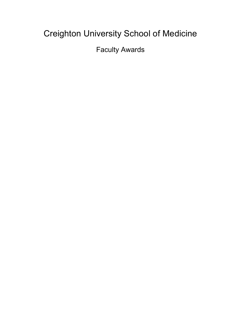# Creighton University School of Medicine

Faculty Awards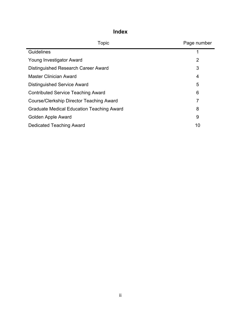| <b>Topic</b>                              | Page number    |
|-------------------------------------------|----------------|
| <b>Guidelines</b>                         | 1              |
| Young Investigator Award                  | $\overline{2}$ |
| Distinguished Research Career Award       | 3              |
| <b>Master Clinician Award</b>             | 4              |
| Distinguished Service Award               | 5              |
| <b>Contributed Service Teaching Award</b> | 6              |
| Course/Clerkship Director Teaching Award  | 7              |
| Graduate Medical Education Teaching Award | 8              |
| Golden Apple Award                        | 9              |
| Dedicated Teaching Award                  | 10             |

# **Index**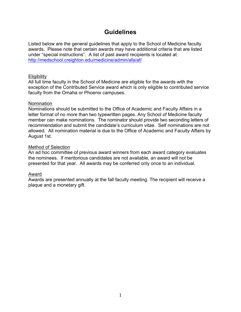# **Guidelines**

Listed below are the general guidelines that apply to the School of Medicine faculty awards. Please note that certain awards may have additional criteria that are listed under "special instructions". A list of past award recipients is located at: http://medschool.creighton.edu/medicine/admin/afa/af/

### **Eligibility**

All full time faculty in the School of Medicine are eligible for the awards with the exception of the Contributed Service award which is only eligible to contributed service faculty from the Omaha or Phoenix campuses.

### Nomination

Nominations should be submitted to the Office of Academic and Faculty Affairs in a letter format of no more than two typewritten pages. Any School of Medicine faculty member can make nominations. The nominator should provide two seconding letters of recommendation and submit the candidate's curriculum vitae. Self nominations are not allowed. All nomination material is due to the Office of Academic and Faculty Affairs by August 1st.

### Method of Selection

An ad hoc committee of previous award winners from each award category evaluates the nominees. If meritorious candidates are not available, an award will not be presented for that year. All awards may be conferred only once to an individual.

### Award

Awards are presented annually at the fall faculty meeting. The recipient will receive a plaque and a monetary gift.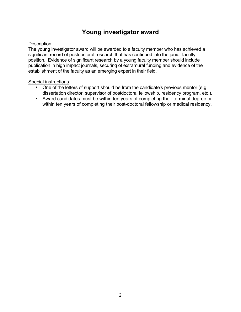# **Young investigator award**

### **Description**

The young investigator award will be awarded to a faculty member who has achieved a significant record of postdoctoral research that has continued into the junior faculty position. Evidence of significant research by a young faculty member should include publication in high impact journals, securing of extramural funding and evidence of the establishment of the faculty as an emerging expert in their field.

### Special instructions

- One of the letters of support should be from the candidate's previous mentor (e.g. dissertation director, supervisor of postdoctoral fellowship, residency program, etc.).
- Award candidates must be within ten years of completing their terminal degree or within ten years of completing their post-doctoral fellowship or medical residency.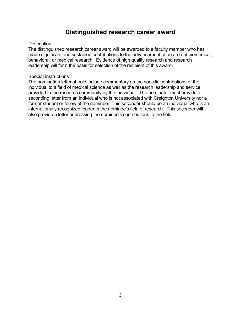### **Distinguished research career award**

#### **Description**

The distinguished research career award will be awarded to a faculty member who has made significant and sustained contributions to the advancement of an area of biomedical, behavioral, or medical research. Evidence of high quality research and research leadership will form the basis for selection of the recipient of this award.

### Special instructions

The nomination letter should include commentary on the specific contributions of the individual to a field of medical science as well as the research leadership and service provided to the research community by the individual. The nominator must provide a seconding letter from an individual who is not associated with Creighton University nor a former student or fellow of the nominee. This seconder should be an individual who is an internationally recognized leader in the nominee's field of research. This seconder will also provide a letter addressing the nominee's contributions to the field.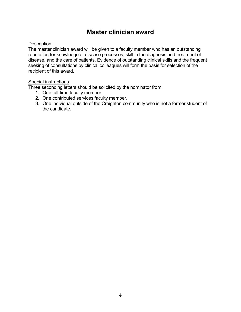# **Master clinician award**

### **Description**

The master clinician award will be given to a faculty member who has an outstanding reputation for knowledge of disease processes, skill in the diagnosis and treatment of disease, and the care of patients. Evidence of outstanding clinical skills and the frequent seeking of consultations by clinical colleagues will form the basis for selection of the recipient of this award.

### Special instructions

Three seconding letters should be solicited by the nominator from:

- 1. One full-time faculty member.
- 2. One contributed services faculty member.
- 3. One individual outside of the Creighton community who is not a former student of the candidate.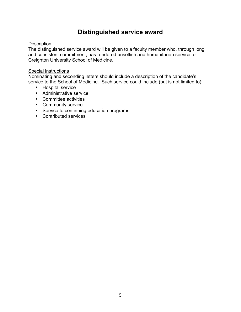# **Distinguished service award**

### **Description**

The distinguished service award will be given to a faculty member who, through long and consistent commitment, has rendered unselfish and humanitarian service to Creighton University School of Medicine.

### Special instructions

Nominating and seconding letters should include a description of the candidate's service to the School of Medicine. Such service could include (but is not limited to):

- Hospital service
- Administrative service
- Committee activities
- Community service
- Service to continuing education programs
- Contributed services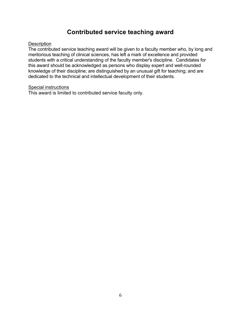# **Contributed service teaching award**

#### **Description**

The contributed service teaching award will be given to a faculty member who, by long and meritorious teaching of clinical sciences, has left a mark of excellence and provided students with a critical understanding of the faculty member's discipline. Candidates for this award should be acknowledged as persons who display expert and well-rounded knowledge of their discipline; are distinguished by an unusual gift for teaching; and are dedicated to the technical and intellectual development of their students.

#### Special instructions

This award is limited to contributed service faculty only.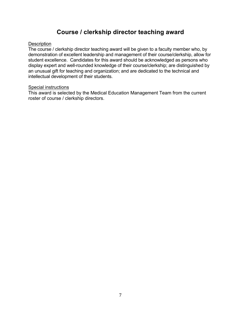# **Course / clerkship director teaching award**

#### **Description**

The course / clerkship director teaching award will be given to a faculty member who, by demonstration of excellent leadership and management of their course/clerkship, allow for student excellence. Candidates for this award should be acknowledged as persons who display expert and well-rounded knowledge of their course/clerkship; are distinguished by an unusual gift for teaching and organization; and are dedicated to the technical and intellectual development of their students.

#### Special instructions

This award is selected by the Medical Education Management Team from the current roster of course / clerkship directors.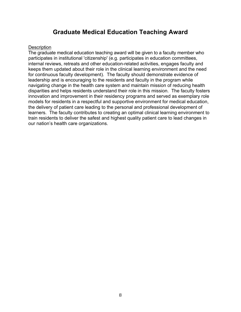# **Graduate Medical Education Teaching Award**

#### **Description**

The graduate medical education teaching award will be given to a faculty member who participates in institutional 'citizenship' (e.g. participates in education committees, internal reviews, retreats and other education-related activities, engages faculty and keeps them updated about their role in the clinical learning environment and the need for continuous faculty development). The faculty should demonstrate evidence of leadership and is encouraging to the residents and faculty in the program while navigating change in the health care system and maintain mission of reducing health disparities and helps residents understand their role in this mission. The faculty fosters innovation and improvement in their residency programs and served as exemplary role models for residents in a respectful and supportive environment for medical education, the delivery of patient care leading to the personal and professional development of learners. The faculty contributes to creating an optimal clinical learning environment to train residents to deliver the safest and highest quality patient care to lead changes in our nation's health care organizations.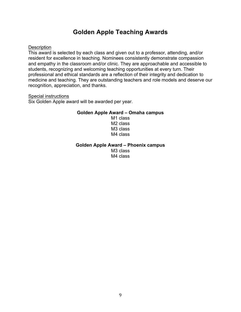## **Golden Apple Teaching Awards**

#### **Description**

This award is selected by each class and given out to a professor, attending, and/or resident for excellence in teaching. Nominees consistently demonstrate compassion and empathy in the classroom and/or clinic. They are approachable and accessible to students, recognizing and welcoming teaching opportunities at every turn. Their professional and ethical standards are a reflection of their integrity and dedication to medicine and teaching. They are outstanding teachers and role models and deserve our recognition, appreciation, and thanks.

#### Special instructions

Six Golden Apple award will be awarded per year.

#### **Golden Apple Award – Omaha campus**

M1 class M2 class M3 class M4 class

#### **Golden Apple Award – Phoenix campus**

M3 class M4 class